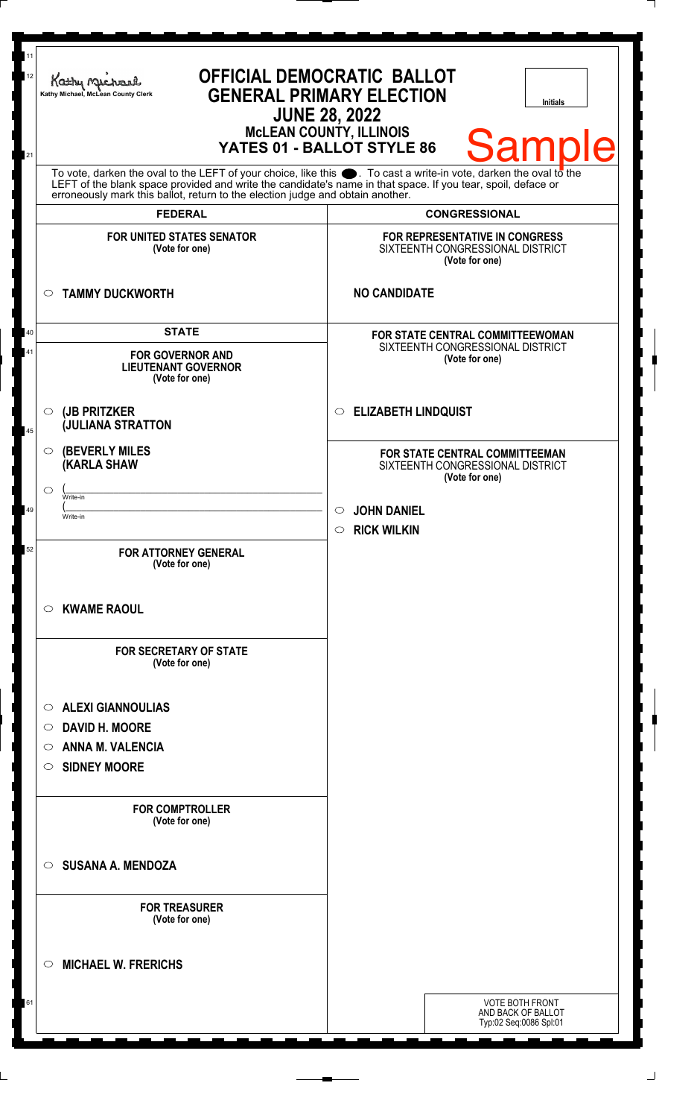|                                                                                |                                                                                         | <b>JUNE 28, 2022</b><br><b>MCLEAN COUNTY, ILLINOIS</b><br><b>Sample</b><br>YATES 01 - BALLOT STYLE 86                                                                                                                                |
|--------------------------------------------------------------------------------|-----------------------------------------------------------------------------------------|--------------------------------------------------------------------------------------------------------------------------------------------------------------------------------------------------------------------------------------|
| erroneously mark this ballot, return to the election judge and obtain another. |                                                                                         | To vote, darken the oval to the LEFT of your choice, like this $\bullet$ . To cast a write-in vote, darken the oval to the LEFT of the blank space provided and write the candidate's name in that space. If you tear, spoil, deface |
|                                                                                | <b>FEDERAL</b>                                                                          | <b>CONGRESSIONAL</b>                                                                                                                                                                                                                 |
|                                                                                | <b>FOR UNITED STATES SENATOR</b><br>(Vote for one)                                      | <b>FOR REPRESENTATIVE IN CONGRESS</b><br>SIXTEENTH CONGRESSIONAL DISTRICT<br>(Vote for one)                                                                                                                                          |
| <b>TAMMY DUCKWORTH</b><br>$\circ$                                              |                                                                                         | <b>NO CANDIDATE</b>                                                                                                                                                                                                                  |
|                                                                                | <b>STATE</b><br><b>FOR GOVERNOR AND</b><br><b>LIEUTENANT GOVERNOR</b><br>(Vote for one) | <b>FOR STATE CENTRAL COMMITTEEWOMAN</b><br>SIXTEENTH CONGRESSIONAL DISTRICT<br>(Vote for one)                                                                                                                                        |
| $\circ$ (JB PRITZKER<br><b>JULIANA STRATTON</b>                                |                                                                                         | <b>ELIZABETH LINDQUIST</b><br>$\circ$                                                                                                                                                                                                |
| <b>(BEVERLY MILES)</b><br>$\circ$<br><b>KARLA SHAW</b>                         |                                                                                         | FOR STATE CENTRAL COMMITTEEMAN<br>SIXTEENTH CONGRESSIONAL DISTRICT<br>(Vote for one)                                                                                                                                                 |
| O<br>Write-in                                                                  |                                                                                         |                                                                                                                                                                                                                                      |
| Write-in                                                                       |                                                                                         | <b>JOHN DANIEL</b><br>$\circ$<br><b>RICK WILKIN</b><br>$\circ$                                                                                                                                                                       |
|                                                                                | <b>FOR ATTORNEY GENERAL</b><br>(Vote for one)                                           |                                                                                                                                                                                                                                      |
| <b>KWAME RAOUL</b><br>$\circ$                                                  |                                                                                         |                                                                                                                                                                                                                                      |
|                                                                                | <b>FOR SECRETARY OF STATE</b><br>(Vote for one)                                         |                                                                                                                                                                                                                                      |
| <b>ALEXI GIANNOULIAS</b><br>$\circ$                                            |                                                                                         |                                                                                                                                                                                                                                      |
| <b>DAVID H. MOORE</b><br>$\circ$                                               |                                                                                         |                                                                                                                                                                                                                                      |
| <b>ANNA M. VALENCIA</b><br>$\circ$                                             |                                                                                         |                                                                                                                                                                                                                                      |
| <b>SIDNEY MOORE</b><br>$\circ$                                                 |                                                                                         |                                                                                                                                                                                                                                      |
|                                                                                | <b>FOR COMPTROLLER</b><br>(Vote for one)                                                |                                                                                                                                                                                                                                      |
| <b>SUSANA A. MENDOZA</b><br>$\circ$                                            |                                                                                         |                                                                                                                                                                                                                                      |
|                                                                                | <b>FOR TREASURER</b><br>(Vote for one)                                                  |                                                                                                                                                                                                                                      |
| <b>MICHAEL W. FRERICHS</b><br>$\circlearrowright$                              |                                                                                         |                                                                                                                                                                                                                                      |
|                                                                                |                                                                                         | <b>VOTE BOTH FRONT</b>                                                                                                                                                                                                               |
|                                                                                |                                                                                         | AND BACK OF BALLOT<br>Typ:02 Seq:0086 Spl:01                                                                                                                                                                                         |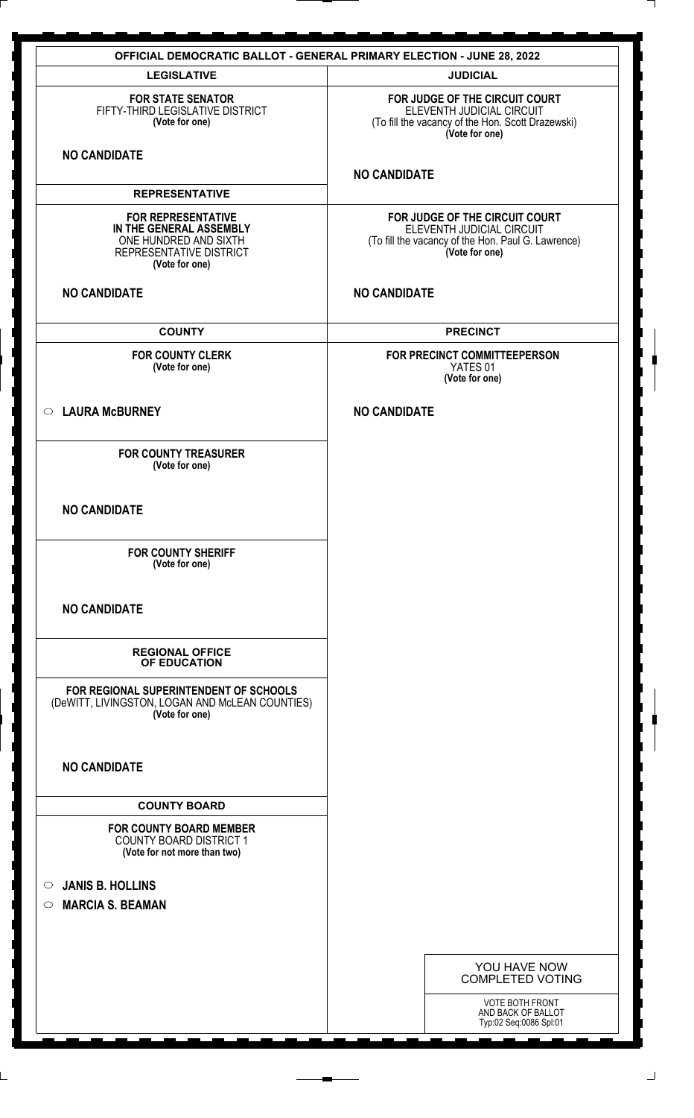|                                                                                                                                   | <b>OFFICIAL DEMOCRATIC BALLOT - GENERAL PRIMARY ELECTION - JUNE 28, 2022</b>                                                                               |  |
|-----------------------------------------------------------------------------------------------------------------------------------|------------------------------------------------------------------------------------------------------------------------------------------------------------|--|
| <b>LEGISLATIVE</b>                                                                                                                | <b>JUDICIAL</b>                                                                                                                                            |  |
| <b>FOR STATE SENATOR</b><br>FIFTY-THIRD LEGISLATIVE DISTRICT<br>(Vote for one)                                                    | FOR JUDGE OF THE CIRCUIT COURT<br>ELEVENTH JUDICIAL CIRCUIT<br>(To fill the vacancy of the Hon. Scott Drazewski)<br>(Vote for one)                         |  |
| <b>NO CANDIDATE</b>                                                                                                               | <b>NO CANDIDATE</b><br>FOR JUDGE OF THE CIRCUIT COURT<br>ELEVENTH JUDICIAL CIRCUIT<br>(To fill the vacancy of the Hon. Paul G. Lawrence)<br>(Vote for one) |  |
| <b>REPRESENTATIVE</b>                                                                                                             |                                                                                                                                                            |  |
| <b>FOR REPRESENTATIVE</b><br>IN THE GENERAL ASSEMBLY<br>ONE HUNDRED AND SIXTH<br><b>REPRESENTATIVE DISTRICT</b><br>(Vote for one) |                                                                                                                                                            |  |
| <b>NO CANDIDATE</b>                                                                                                               | <b>NO CANDIDATE</b>                                                                                                                                        |  |
| <b>COUNTY</b>                                                                                                                     | <b>PRECINCT</b>                                                                                                                                            |  |
| <b>FOR COUNTY CLERK</b><br>(Vote for one)                                                                                         | FOR PRECINCT COMMITTEEPERSON<br>YATES 01<br>(Vote for one)                                                                                                 |  |
| ○ LAURA McBURNEY                                                                                                                  | <b>NO CANDIDATE</b>                                                                                                                                        |  |
| <b>FOR COUNTY TREASURER</b><br>(Vote for one)                                                                                     |                                                                                                                                                            |  |
| <b>NO CANDIDATE</b>                                                                                                               |                                                                                                                                                            |  |
| <b>FOR COUNTY SHERIFF</b><br>(Vote for one)                                                                                       |                                                                                                                                                            |  |
| <b>NO CANDIDATE</b>                                                                                                               |                                                                                                                                                            |  |
| <b>REGIONAL OFFICE</b><br>OF EDUCATION                                                                                            |                                                                                                                                                            |  |
| FOR REGIONAL SUPERINTENDENT OF SCHOOLS<br>(DeWITT, LIVINGSTON, LOGAN AND McLEAN COUNTIES)<br>(Vote for one)                       |                                                                                                                                                            |  |
| <b>NO CANDIDATE</b>                                                                                                               |                                                                                                                                                            |  |
| <b>COUNTY BOARD</b>                                                                                                               |                                                                                                                                                            |  |
| <b>FOR COUNTY BOARD MEMBER</b><br><b>COUNTY BOARD DISTRICT 1</b><br>(Vote for not more than two)                                  |                                                                                                                                                            |  |
| <b>JANIS B. HOLLINS</b><br>$\circ$                                                                                                |                                                                                                                                                            |  |
| <b>MARCIA S. BEAMAN</b><br>$\circ$                                                                                                |                                                                                                                                                            |  |
|                                                                                                                                   |                                                                                                                                                            |  |
|                                                                                                                                   | YOU HAVE NOW                                                                                                                                               |  |
|                                                                                                                                   | <b>COMPLETED VOTING</b>                                                                                                                                    |  |
|                                                                                                                                   | <b>VOTE BOTH FRONT</b><br>AND BACK OF BALLOT<br>Typ:02 Seq:0086 Spl:01                                                                                     |  |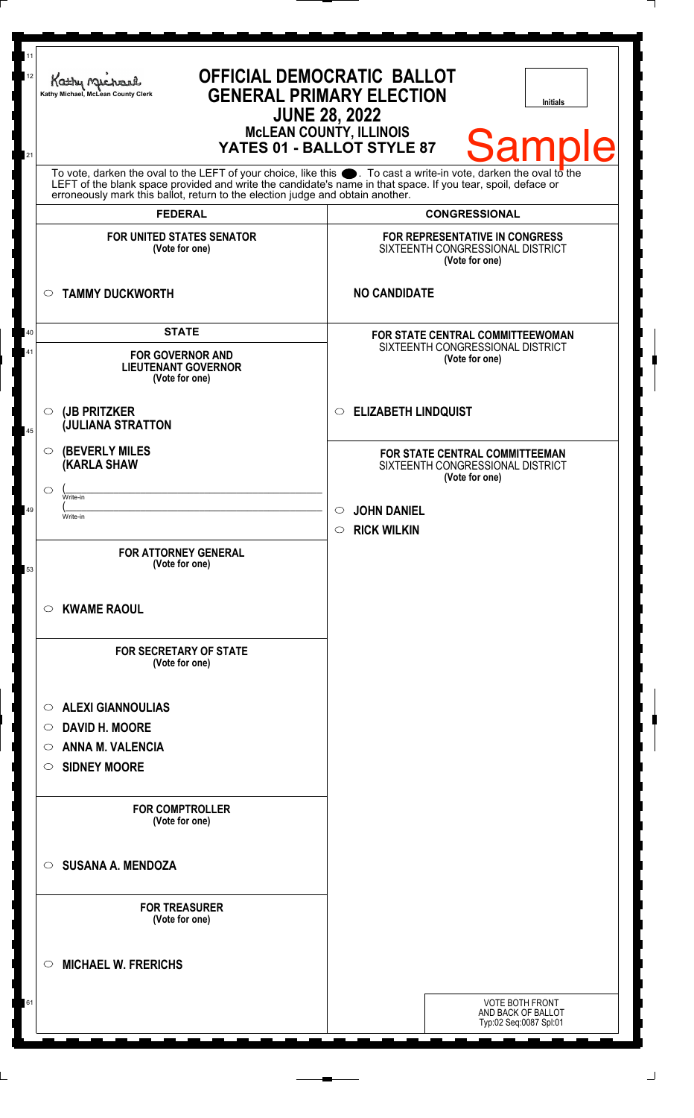| 11<br>12 | Kathy My                                                                                                                                                                                                                                                                                                               | <b>OFFICIAL DEMOCRATIC BALLOT</b>                                                                            |
|----------|------------------------------------------------------------------------------------------------------------------------------------------------------------------------------------------------------------------------------------------------------------------------------------------------------------------------|--------------------------------------------------------------------------------------------------------------|
|          | Kathy Michael, McLean County Clerk                                                                                                                                                                                                                                                                                     | <b>GENERAL PRIMARY ELECTION</b><br><b>Initials</b><br><b>JUNE 28, 2022</b><br><b>MCLEAN COUNTY, ILLINOIS</b> |
| 21       |                                                                                                                                                                                                                                                                                                                        | <b>Sample</b><br>YATES 01 - BALLOT STYLE 87                                                                  |
|          | To vote, darken the oval to the LEFT of your choice, like this $\bullet$ . To cast a write-in vote, darken the oval to the LEFT of the blank space provided and write the candidate's name in that space. If you tear, spoil, deface<br>erroneously mark this ballot, return to the election judge and obtain another. |                                                                                                              |
|          | <b>FEDERAL</b>                                                                                                                                                                                                                                                                                                         | <b>CONGRESSIONAL</b>                                                                                         |
|          | <b>FOR UNITED STATES SENATOR</b><br>(Vote for one)                                                                                                                                                                                                                                                                     | FOR REPRESENTATIVE IN CONGRESS<br>SIXTEENTH CONGRESSIONAL DISTRICT<br>(Vote for one)                         |
|          | <b>TAMMY DUCKWORTH</b><br>$\circ$                                                                                                                                                                                                                                                                                      | <b>NO CANDIDATE</b>                                                                                          |
| 40       | <b>STATE</b>                                                                                                                                                                                                                                                                                                           | FOR STATE CENTRAL COMMITTEEWOMAN                                                                             |
| 41       | <b>FOR GOVERNOR AND</b><br><b>LIEUTENANT GOVERNOR</b><br>(Vote for one)                                                                                                                                                                                                                                                | SIXTEENTH CONGRESSIONAL DISTRICT<br>(Vote for one)                                                           |
| 45       | $\circ$ (JB PRITZKER<br><b>JULIANA STRATTON</b>                                                                                                                                                                                                                                                                        | <b>ELIZABETH LINDQUIST</b><br>$\circ$                                                                        |
|          | <b>(BEVERLY MILES)</b><br>$\circ$<br><b>KARLA SHAW</b>                                                                                                                                                                                                                                                                 | <b>FOR STATE CENTRAL COMMITTEEMAN</b><br>SIXTEENTH CONGRESSIONAL DISTRICT<br>(Vote for one)                  |
| 49       | $\circlearrowright$<br>Write-in                                                                                                                                                                                                                                                                                        | $\circ$<br><b>JOHN DANIEL</b>                                                                                |
|          | Write-in                                                                                                                                                                                                                                                                                                               | <b>RICK WILKIN</b><br>$\circ$                                                                                |
| 53       | <b>FOR ATTORNEY GENERAL</b><br>(Vote for one)                                                                                                                                                                                                                                                                          |                                                                                                              |
|          | <b>KWAME RAOUL</b><br>$\circ$                                                                                                                                                                                                                                                                                          |                                                                                                              |
|          | <b>FOR SECRETARY OF STATE</b><br>(Vote for one)                                                                                                                                                                                                                                                                        |                                                                                                              |
|          | <b>ALEXI GIANNOULIAS</b><br>$\circ$                                                                                                                                                                                                                                                                                    |                                                                                                              |
|          | <b>DAVID H. MOORE</b><br>$\circ$                                                                                                                                                                                                                                                                                       |                                                                                                              |
|          | <b>ANNA M. VALENCIA</b><br>$\circ$                                                                                                                                                                                                                                                                                     |                                                                                                              |
|          | <b>SIDNEY MOORE</b><br>$\circ$                                                                                                                                                                                                                                                                                         |                                                                                                              |
|          | <b>FOR COMPTROLLER</b><br>(Vote for one)                                                                                                                                                                                                                                                                               |                                                                                                              |
|          | <b>SUSANA A. MENDOZA</b><br>$\circ$                                                                                                                                                                                                                                                                                    |                                                                                                              |
|          | <b>FOR TREASURER</b><br>(Vote for one)                                                                                                                                                                                                                                                                                 |                                                                                                              |
|          | <b>MICHAEL W. FRERICHS</b><br>$\circlearrowright$                                                                                                                                                                                                                                                                      |                                                                                                              |
| 61       |                                                                                                                                                                                                                                                                                                                        | <b>VOTE BOTH FRONT</b><br>AND BACK OF BALLOT<br>Typ:02 Seq:0087 Spl:01                                       |

 $\Box$